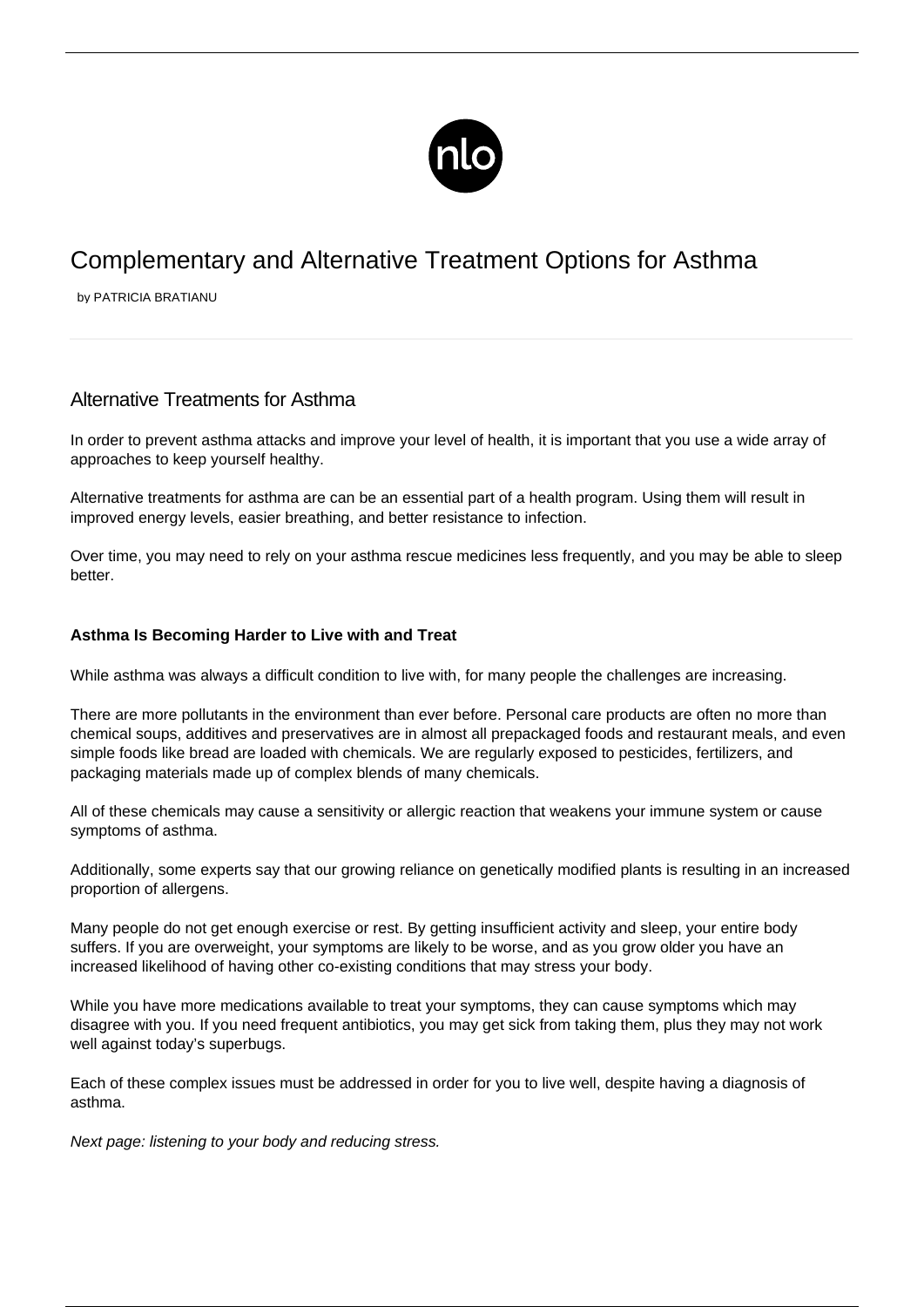

# Complementary and Alternative Treatment Options for Asthma

by PATRICIA BRATIANU

# Alternative Treatments for Asthma

In order to [prevent asthma attacks](/avoiding-asthma-attacks/) and improve your level of health, it is important that you use a wide array of approaches to keep yourself healthy.

Alternative treatments for asthma are can be an essential part of a health program. Using them will result in improved energy levels, easier breathing, and better resistance to infection.

Over time, you may need to rely on your asthma rescue medicines less frequently, and you may be able to sleep better.

# **Asthma Is Becoming Harder to Live with and Treat**

While asthma was always a difficult condition to live with, for many people the challenges are increasing.

There are more pollutants in the environment than ever before. Personal care products are often no more than chemical soups, additives and preservatives are in almost all prepackaged foods and restaurant meals, and even simple foods like bread are loaded with chemicals. We are regularly exposed to pesticides, fertilizers, and packaging materials made up of complex blends of many chemicals.

All of these chemicals may cause a sensitivity or allergic reaction that weakens your immune system or cause symptoms of asthma.

Additionally, some experts say that our growing reliance on genetically modified plants is resulting in an increased proportion of allergens.

Many people do not get enough exercise or rest. By getting insufficient activity and sleep, your entire body suffers. If you are overweight, your symptoms are likely to be worse, and as you grow older you have an increased likelihood of having other co-existing conditions that may stress your body.

While you have more medications available to treat your symptoms, they can cause symptoms which may disagree with you. If you need frequent antibiotics, you may get sick from taking them, plus they may not work well against today's superbugs.

Each of these complex issues must be addressed in order for you to live well, despite having a diagnosis of asthma.

Next page: listening to your body and reducing stress.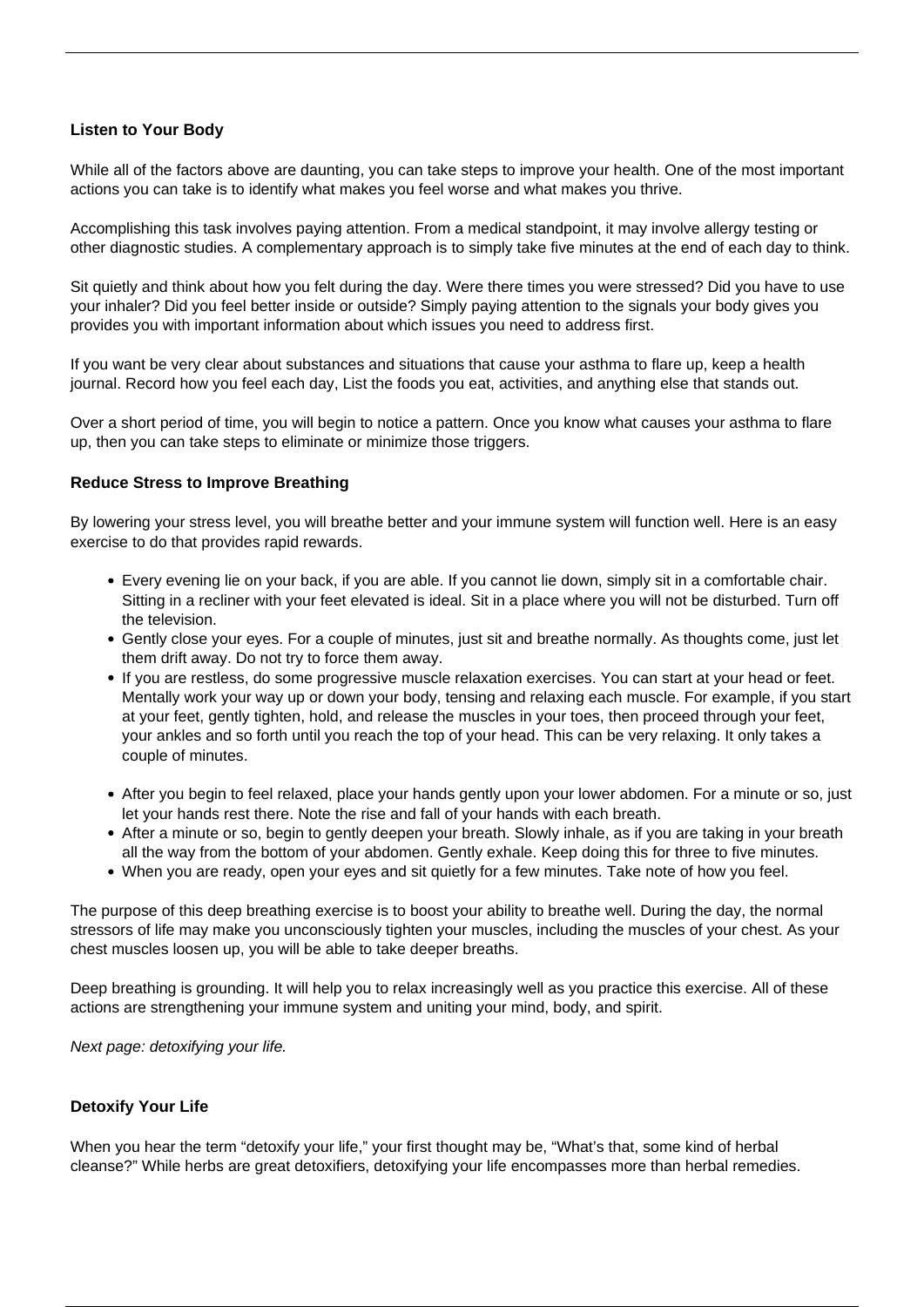## **Listen to Your Body**

While all of the factors above are daunting, you can take steps to improve your health. One of the most important actions you can take is to identify what makes you feel worse and what makes you thrive.

Accomplishing this task involves paying attention. From a medical standpoint, it may involve [allergy testing](/asthma-allergies/) or other diagnostic studies. A complementary approach is to simply take five minutes at the end of each day to think.

Sit quietly and think about how you felt during the day. Were there times you were stressed? Did you have to use your inhaler? Did you feel better inside or outside? Simply paying attention to the signals your body gives you provides you with important information about which issues you need to address first.

If you want be very clear about substances and situations that cause your asthma to flare up, keep a health journal. Record how you feel each day, List the foods you eat, activities, and anything else that stands out.

Over a short period of time, you will begin to notice a pattern. Once you know what causes your asthma to flare up, then you can take steps to eliminate or minimize those triggers.

### **Reduce Stress to Improve Breathing**

By lowering your stress level, you will breathe better and your immune system will function well. Here is an easy exercise to do that provides rapid rewards.

- Every evening lie on your back, if you are able. If you cannot lie down, simply sit in a comfortable chair. Sitting in a recliner with your feet elevated is ideal. Sit in a place where you will not be disturbed. Turn off the television.
- Gently close your eyes. For a couple of minutes, just sit and breathe normally. As thoughts come, just let them drift away. Do not try to force them away.
- If you are restless, do some progressive muscle relaxation exercises. You can start at your head or feet. Mentally work your way up or down your body, tensing and relaxing each muscle. For example, if you start at your feet, gently tighten, hold, and release the muscles in your toes, then proceed through your feet, your ankles and so forth until you reach the top of your head. This can be very relaxing. It only takes a couple of minutes.
- After you begin to feel relaxed, place your hands gently upon your lower abdomen. For a minute or so, just let your hands rest there. Note the rise and fall of your hands with each breath.
- After a minute or so, begin to gently deepen your breath. Slowly inhale, as if you are taking in your breath all the way from the bottom of your abdomen. Gently exhale. Keep doing this for three to five minutes.
- When you are ready, open your eyes and sit quietly for a few minutes. Take note of how you feel.

The purpose of this deep breathing exercise is to boost your ability to breathe well. During the day, the normal stressors of life may make you unconsciously tighten your muscles, including the muscles of your chest. As your chest muscles loosen up, you will be able to take deeper breaths.

Deep breathing is grounding. It will help you to relax increasingly well as you practice this exercise. All of these actions are strengthening your immune system and uniting your mind, body, and spirit.

Next page: detoxifying your life.

### **Detoxify Your Life**

When you hear the term "detoxify your life," your first thought may be, "What's that, some kind of herbal cleanse?" While herbs are great detoxifiers, detoxifying your life encompasses more than herbal remedies.